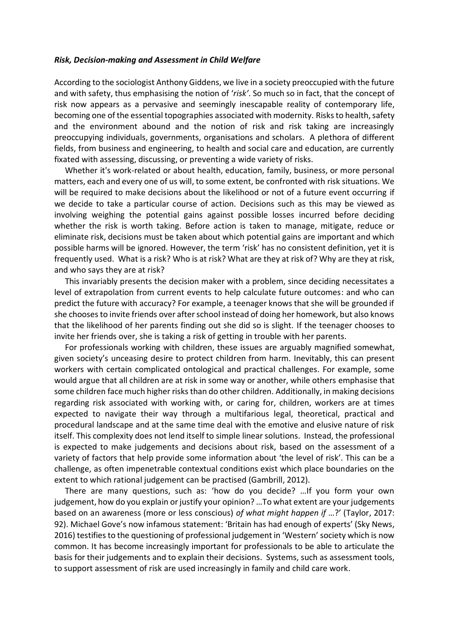## *Risk, Decision-making and Assessment in Child Welfare*

According to the sociologist Anthony Giddens, we live in a society preoccupied with the future and with safety, thus emphasising the notion of '*risk'*. So much so in fact, that the concept of risk now appears as a pervasive and seemingly inescapable reality of contemporary life, becoming one of the essential topographies associated with modernity. Risks to health, safety and the environment abound and the notion of risk and risk taking are increasingly preoccupying individuals, governments, organisations and scholars. A plethora of different fields, from business and engineering, to health and social care and education, are currently fixated with assessing, discussing, or preventing a wide variety of risks.

Whether it's work-related or about health, education, family, business, or more personal matters, each and every one of us will, to some extent, be confronted with risk situations. We will be required to make decisions about the likelihood or not of a future event occurring if we decide to take a particular course of action*.* Decisions such as this may be viewed as involving weighing the potential gains against possible losses incurred before deciding whether the risk is worth taking. Before action is taken to manage, mitigate, reduce or eliminate risk, decisions must be taken about which potential gains are important and which possible harms will be ignored. However, the term 'risk' has no consistent definition, yet it is frequently used. What is a risk? Who is at risk? What are they at risk of? Why are they at risk, and who says they are at risk?

This invariably presents the decision maker with a problem, since deciding necessitates a level of extrapolation from current events to help calculate future outcomes: and who can predict the future with accuracy? For example, a teenager knows that she will be grounded if she chooses to invite friends over after school instead of doing her homework, but also knows that the likelihood of her parents finding out she did so is slight. If the teenager chooses to invite her friends over, she is taking a risk of getting in trouble with her parents.

For professionals working with children, these issues are arguably magnified somewhat, given society's unceasing desire to protect children from harm. Inevitably, this can present workers with certain complicated ontological and practical challenges. For example, some would argue that all children are at risk in some way or another, while others emphasise that some children face much higher risks than do other children. Additionally, in making decisions regarding risk associated with working with, or caring for, children, workers are at times expected to navigate their way through a multifarious legal, theoretical, practical and procedural landscape and at the same time deal with the emotive and elusive nature of risk itself. This complexity does not lend itself to simple linear solutions. Instead, the professional is expected to make judgements and decisions about risk, based on the assessment of a variety of factors that help provide some information about 'the level of risk'. This can be a challenge, as often impenetrable contextual conditions exist which place boundaries on the extent to which rational judgement can be practised (Gambrill, 2012).

There are many questions, such as: 'how do you decide? …If you form your own judgement, how do you explain or justify your opinion? …To what extent are your judgements based on an awareness (more or less conscious) *of what might happen if* …?' (Taylor, 2017: 92). Michael Gove's now infamous statement: 'Britain has had enough of experts' (Sky News, 2016) testifies to the questioning of professional judgement in 'Western'society which is now common. It has become increasingly important for professionals to be able to articulate the basis for their judgements and to explain their decisions. Systems, such as assessment tools, to support assessment of risk are used increasingly in family and child care work.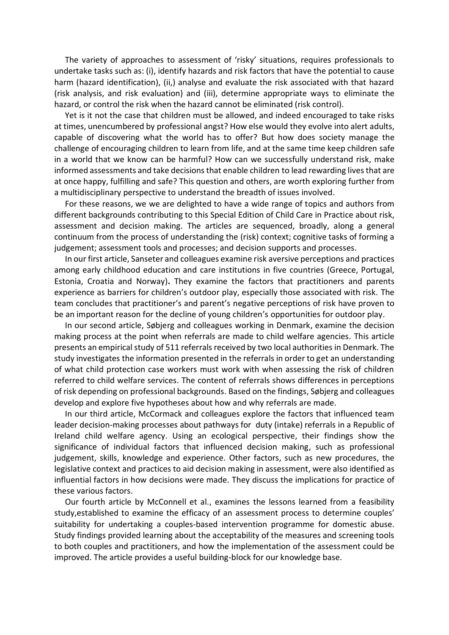The variety of approaches to assessment of 'risky' situations, requires professionals to undertake tasks such as: (i), identify hazards and risk factors that have the potential to cause harm (hazard identification), (ii,) analyse and evaluate the risk associated with that hazard (risk analysis, and risk evaluation) and (iii), determine appropriate ways to eliminate the hazard, or control the risk when the hazard cannot be eliminated (risk control).

Yet is it not the case that children must be allowed, and indeed encouraged to take risks at times, unencumbered by professional angst? How else would they evolve into alert adults, capable of discovering what the world has to offer? But how does society manage the challenge of encouraging children to learn from life, and at the same time keep children safe in a world that we know can be harmful? How can we successfully understand risk, make informed assessments and take decisions that enable children to lead rewarding lives that are at once happy, fulfilling and safe? This question and others, are worth exploring further from a multidisciplinary perspective to understand the breadth of issues involved.

For these reasons, we we are delighted to have a wide range of topics and authors from different backgrounds contributing to this Special Edition of Child Care in Practice about risk, assessment and decision making. The articles are sequenced, broadly, along a general continuum from the process of understanding the (risk) context; cognitive tasks of forming a judgement; assessment tools and processes; and decision supports and processes.

In our first article, Sanseter and colleagues examine risk aversive perceptions and practices among early childhood education and care institutions in five countries (Greece, Portugal, Estonia, Croatia and Norway)**.** They examine the factors that practitioners and parents experience as barriers for children's outdoor play, especially those associated with risk. The team concludes that practitioner's and parent's negative perceptions of risk have proven to be an important reason for the decline of young children's opportunities for outdoor play.

In our second article, Søbjerg and colleagues working in Denmark, examine the decision making process at the point when referrals are made to child welfare agencies. This article presents an empirical study of 511 referrals received by two local authorities in Denmark. The study investigates the information presented in the referrals in order to get an understanding of what child protection case workers must work with when assessing the risk of children referred to child welfare services. The content of referrals shows differences in perceptions of risk depending on professional backgrounds. Based on the findings, Søbjerg and colleagues develop and explore five hypotheses about how and why referrals are made.

In our third article, McCormack and colleagues explore the factors that influenced team leader decision-making processes about pathways for duty (intake) referrals in a Republic of Ireland child welfare agency. Using an ecological perspective, their findings show the significance of individual factors that influenced decision making, such as professional judgement, skills, knowledge and experience. Other factors, such as new procedures, the legislative context and practices to aid decision making in assessment, were also identified as influential factors in how decisions were made. They discuss the implications for practice of these various factors.

Our fourth article by McConnell et al., examines the lessons learned from a feasibility study,established to examine the efficacy of an assessment process to determine couples' suitability for undertaking a couples-based intervention programme for domestic abuse. Study findings provided learning about the acceptability of the measures and screening tools to both couples and practitioners, and how the implementation of the assessment could be improved. The article provides a useful building-block for our knowledge base.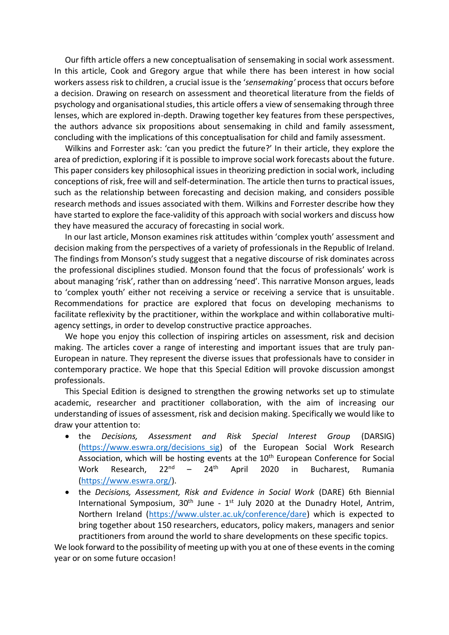Our fifth article offers a new conceptualisation of sensemaking in social work assessment. In this article, Cook and Gregory argue that while there has been interest in how social workers assess risk to children, a crucial issue is the '*sensemaking'* process that occurs before a decision. Drawing on research on assessment and theoretical literature from the fields of psychology and organisational studies, this article offers a view of sensemaking through three lenses, which are explored in-depth. Drawing together key features from these perspectives, the authors advance six propositions about sensemaking in child and family assessment, concluding with the implications of this conceptualisation for child and family assessment.

Wilkins and Forrester ask: 'can you predict the future?' In their article, they explore the area of prediction, exploring if it is possible to improve social work forecasts about the future. This paper considers key philosophical issues in theorizing prediction in social work, including conceptions of risk, free will and self-determination. The article then turns to practical issues, such as the relationship between forecasting and decision making, and considers possible research methods and issues associated with them. Wilkins and Forrester describe how they have started to explore the face-validity of this approach with social workers and discuss how they have measured the accuracy of forecasting in social work.

In our last article, Monson examines risk attitudes within 'complex youth' assessment and decision making from the perspectives of a variety of professionals in the Republic of Ireland. The findings from Monson's study suggest that a negative discourse of risk dominates across the professional disciplines studied. Monson found that the focus of professionals' work is about managing 'risk', rather than on addressing 'need'. This narrative Monson argues, leads to 'complex youth' either not receiving a service or receiving a service that is unsuitable. Recommendations for practice are explored that focus on developing mechanisms to facilitate reflexivity by the practitioner, within the workplace and within collaborative multiagency settings, in order to develop constructive practice approaches.

We hope you enjoy this collection of inspiring articles on assessment, risk and decision making. The articles cover a range of interesting and important issues that are truly pan-European in nature. They represent the diverse issues that professionals have to consider in contemporary practice. We hope that this Special Edition will provoke discussion amongst professionals.

This Special Edition is designed to strengthen the growing networks set up to stimulate academic, researcher and practitioner collaboration, with the aim of increasing our understanding of issues of assessment, risk and decision making. Specifically we would like to draw your attention to:

- the *Decisions, Assessment and Risk Special Interest Group* (DARSIG) [\(https://www.eswra.org/decisions\\_sig\)](https://www.eswra.org/decisions_sig) of the European Social Work Research Association, which will be hosting events at the  $10<sup>th</sup>$  European Conference for Social Work Research,  $22^{nd}$  –  $24^{th}$  April 2020 in Bucharest, Rumania [\(https://www.eswra.org/\)](https://www.eswra.org/).
- the *Decisions, Assessment, Risk and Evidence in Social Work* (DARE) 6th Biennial International Symposium,  $30<sup>th</sup>$  June -  $1<sup>st</sup>$  July 2020 at the Dunadry Hotel, Antrim, Northern Ireland [\(https://www.ulster.ac.uk/conference/dare\)](https://www.ulster.ac.uk/conference/dare) which is expected to bring together about 150 researchers, educators, policy makers, managers and senior practitioners from around the world to share developments on these specific topics.

We look forward to the possibility of meeting up with you at one of these events in the coming year or on some future occasion!